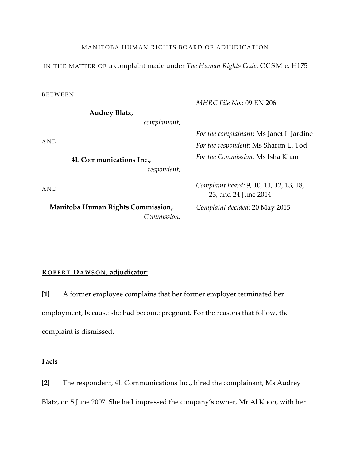## MANITOBA HUMAN RIGHTS BOARD OF ADJUDICATION

IN THE MATTER OF a complaint made under *The Human Rights Code*, CCSM c. H175

BETWEEN

**Audrey Blatz,** 

*complainant*,

AND

**4L Communications Inc.,**  *respondent,*

AND

**Manitoba Human Rights Commission,** *Commission.* *MHRC File No.:* 09 EN 206

*For the complainant*: Ms Janet I. Jardine *For the respondent*: Ms Sharon L. Tod *For the Commission:* Ms Isha Khan

*Complaint heard:* 9, 10, 11, 12, 13, 18, 23, and 24 June 2014 *Complaint decided:* 20 May 2015

# **R OBERT DAWSON , adjudicator:**

**[1]** A former employee complains that her former employer terminated her employment, because she had become pregnant. For the reasons that follow, the complaint is dismissed.

**Facts**

**[2]** The respondent, 4L Communications Inc., hired the complainant, Ms Audrey Blatz, on 5 June 2007. She had impressed the company's owner, Mr Al Koop, with her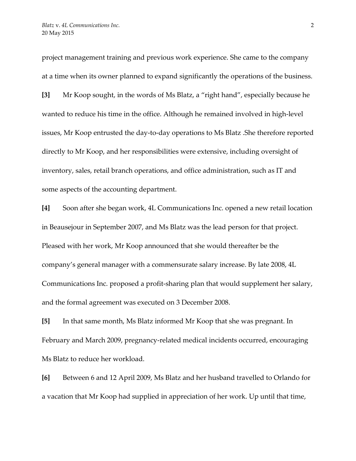project management training and previous work experience. She came to the company at a time when its owner planned to expand significantly the operations of the business. **[3]** Mr Koop sought, in the words of Ms Blatz, a "right hand", especially because he wanted to reduce his time in the office. Although he remained involved in high-level issues, Mr Koop entrusted the day-to-day operations to Ms Blatz .She therefore reported directly to Mr Koop, and her responsibilities were extensive, including oversight of inventory, sales, retail branch operations, and office administration, such as IT and some aspects of the accounting department.

**[4]** Soon after she began work, 4L Communications Inc. opened a new retail location in Beausejour in September 2007, and Ms Blatz was the lead person for that project. Pleased with her work, Mr Koop announced that she would thereafter be the company's general manager with a commensurate salary increase. By late 2008, 4L Communications Inc. proposed a profit-sharing plan that would supplement her salary, and the formal agreement was executed on 3 December 2008.

**[5]** In that same month, Ms Blatz informed Mr Koop that she was pregnant. In February and March 2009, pregnancy-related medical incidents occurred, encouraging Ms Blatz to reduce her workload.

**[6]** Between 6 and 12 April 2009, Ms Blatz and her husband travelled to Orlando for a vacation that Mr Koop had supplied in appreciation of her work. Up until that time,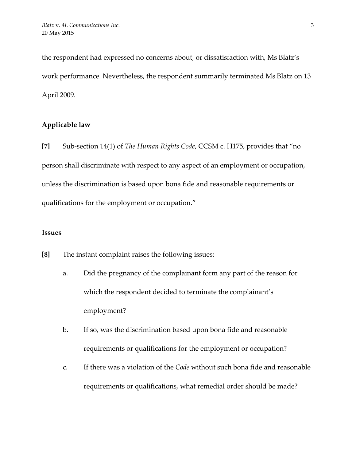the respondent had expressed no concerns about, or dissatisfaction with, Ms Blatz's work performance. Nevertheless, the respondent summarily terminated Ms Blatz on 13 April 2009.

# **Applicable law**

**[7]** Sub-section 14(1) of *The Human Rights Code*, CCSM c. H175, provides that "no person shall discriminate with respect to any aspect of an employment or occupation, unless the discrimination is based upon bona fide and reasonable requirements or qualifications for the employment or occupation."

#### **Issues**

**[8]** The instant complaint raises the following issues:

- a. Did the pregnancy of the complainant form any part of the reason for which the respondent decided to terminate the complainant's employment?
- b. If so, was the discrimination based upon bona fide and reasonable requirements or qualifications for the employment or occupation?
- c. If there was a violation of the *Code* without such bona fide and reasonable requirements or qualifications, what remedial order should be made?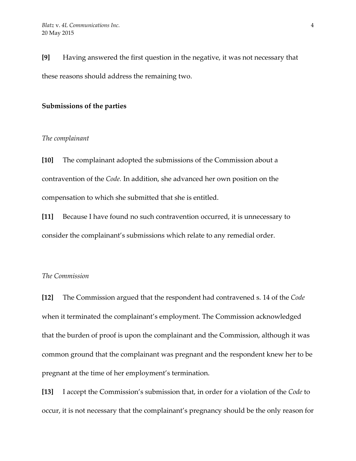**[9]** Having answered the first question in the negative, it was not necessary that these reasons should address the remaining two.

## **Submissions of the parties**

#### *The complainant*

**[10]** The complainant adopted the submissions of the Commission about a contravention of the *Code.* In addition, she advanced her own position on the compensation to which she submitted that she is entitled.

**[11]** Because I have found no such contravention occurred, it is unnecessary to consider the complainant's submissions which relate to any remedial order.

## *The Commission*

**[12]** The Commission argued that the respondent had contravened s. 14 of the *Code* when it terminated the complainant's employment. The Commission acknowledged that the burden of proof is upon the complainant and the Commission, although it was common ground that the complainant was pregnant and the respondent knew her to be pregnant at the time of her employment's termination.

**[13]** I accept the Commission's submission that, in order for a violation of the *Code* to occur, it is not necessary that the complainant's pregnancy should be the only reason for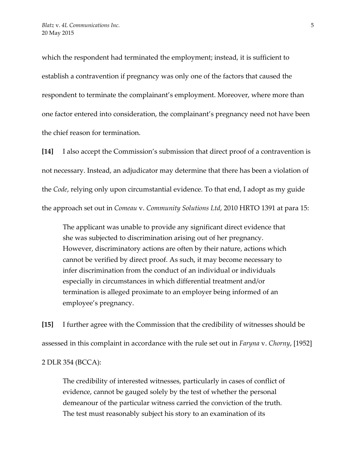which the respondent had terminated the employment; instead, it is sufficient to establish a contravention if pregnancy was only one of the factors that caused the respondent to terminate the complainant's employment. Moreover, where more than one factor entered into consideration, the complainant's pregnancy need not have been the chief reason for termination.

**[14]** I also accept the Commission's submission that direct proof of a contravention is not necessary. Instead, an adjudicator may determine that there has been a violation of the *Code*, relying only upon circumstantial evidence. To that end, I adopt as my guide the approach set out in *Comeau* v. *Community Solutions Ltd*, 2010 HRTO 1391 at para 15:

The applicant was unable to provide any significant direct evidence that she was subjected to discrimination arising out of her pregnancy. However, discriminatory actions are often by their nature, actions which cannot be verified by direct proof. As such, it may become necessary to infer discrimination from the conduct of an individual or individuals especially in circumstances in which differential treatment and/or termination is alleged proximate to an employer being informed of an employee's pregnancy.

**[15]** I further agree with the Commission that the credibility of witnesses should be assessed in this complaint in accordance with the rule set out in *Faryna* v. *Chorny*, [1952]

2 DLR 354 (BCCA):

The credibility of interested witnesses, particularly in cases of conflict of evidence, cannot be gauged solely by the test of whether the personal demeanour of the particular witness carried the conviction of the truth. The test must reasonably subject his story to an examination of its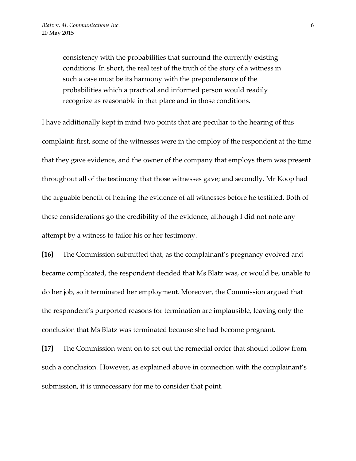consistency with the probabilities that surround the currently existing conditions. In short, the real test of the truth of the story of a witness in such a case must be its harmony with the preponderance of the probabilities which a practical and informed person would readily recognize as reasonable in that place and in those conditions.

I have additionally kept in mind two points that are peculiar to the hearing of this complaint: first, some of the witnesses were in the employ of the respondent at the time that they gave evidence, and the owner of the company that employs them was present throughout all of the testimony that those witnesses gave; and secondly, Mr Koop had the arguable benefit of hearing the evidence of all witnesses before he testified. Both of these considerations go the credibility of the evidence, although I did not note any attempt by a witness to tailor his or her testimony.

**[16]** The Commission submitted that, as the complainant's pregnancy evolved and became complicated, the respondent decided that Ms Blatz was, or would be, unable to do her job, so it terminated her employment. Moreover, the Commission argued that the respondent's purported reasons for termination are implausible, leaving only the conclusion that Ms Blatz was terminated because she had become pregnant.

**[17]** The Commission went on to set out the remedial order that should follow from such a conclusion. However, as explained above in connection with the complainant's submission, it is unnecessary for me to consider that point.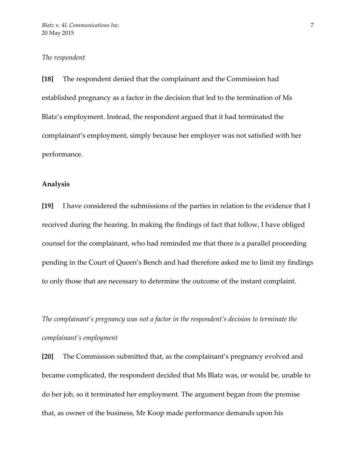#### *The respondent*

**[18]** The respondent denied that the complainant and the Commission had established pregnancy as a factor in the decision that led to the termination of Ms Blatz's employment. Instead, the respondent argued that it had terminated the complainant's employment, simply because her employer was not satisfied with her performance.

## **Analysis**

**[19]** I have considered the submissions of the parties in relation to the evidence that I received during the hearing. In making the findings of fact that follow, I have obliged counsel for the complainant, who had reminded me that there is a parallel proceeding pending in the Court of Queen's Bench and had therefore asked me to limit my findings to only those that are necessary to determine the outcome of the instant complaint.

*The complainant's pregnancy was not a factor in the respondent's decision to terminate the complainant's employment*

**[20]** The Commission submitted that, as the complainant's pregnancy evolved and became complicated, the respondent decided that Ms Blatz was, or would be, unable to do her job, so it terminated her employment. The argument began from the premise that, as owner of the business, Mr Koop made performance demands upon his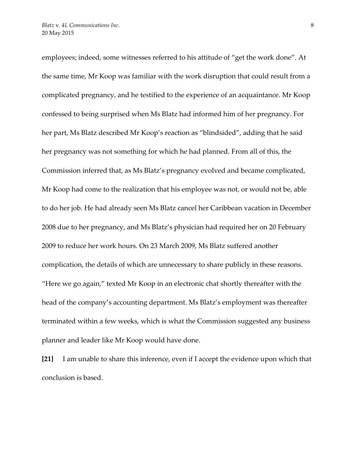employees; indeed, some witnesses referred to his attitude of "get the work done". At the same time, Mr Koop was familiar with the work disruption that could result from a complicated pregnancy, and he testified to the experience of an acquaintance. Mr Koop confessed to being surprised when Ms Blatz had informed him of her pregnancy. For her part, Ms Blatz described Mr Koop's reaction as "blindsided", adding that he said her pregnancy was not something for which he had planned. From all of this, the Commission inferred that, as Ms Blatz's pregnancy evolved and became complicated, Mr Koop had come to the realization that his employee was not, or would not be, able to do her job. He had already seen Ms Blatz cancel her Caribbean vacation in December 2008 due to her pregnancy, and Ms Blatz's physician had required her on 20 February 2009 to reduce her work hours. On 23 March 2009, Ms Blatz suffered another complication, the details of which are unnecessary to share publicly in these reasons. "Here we go again," texted Mr Koop in an electronic chat shortly thereafter with the head of the company's accounting department. Ms Blatz's employment was thereafter terminated within a few weeks, which is what the Commission suggested any business planner and leader like Mr Koop would have done.

**[21]** I am unable to share this inference, even if I accept the evidence upon which that conclusion is based.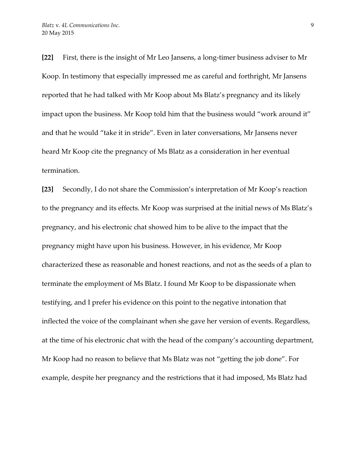**[22]** First, there is the insight of Mr Leo Jansens, a long-timer business adviser to Mr Koop. In testimony that especially impressed me as careful and forthright, Mr Jansens reported that he had talked with Mr Koop about Ms Blatz's pregnancy and its likely impact upon the business. Mr Koop told him that the business would "work around it" and that he would "take it in stride". Even in later conversations, Mr Jansens never heard Mr Koop cite the pregnancy of Ms Blatz as a consideration in her eventual termination.

**[23]** Secondly, I do not share the Commission's interpretation of Mr Koop's reaction to the pregnancy and its effects. Mr Koop was surprised at the initial news of Ms Blatz's pregnancy, and his electronic chat showed him to be alive to the impact that the pregnancy might have upon his business. However, in his evidence, Mr Koop characterized these as reasonable and honest reactions, and not as the seeds of a plan to terminate the employment of Ms Blatz. I found Mr Koop to be dispassionate when testifying, and I prefer his evidence on this point to the negative intonation that inflected the voice of the complainant when she gave her version of events. Regardless, at the time of his electronic chat with the head of the company's accounting department, Mr Koop had no reason to believe that Ms Blatz was not "getting the job done". For example, despite her pregnancy and the restrictions that it had imposed, Ms Blatz had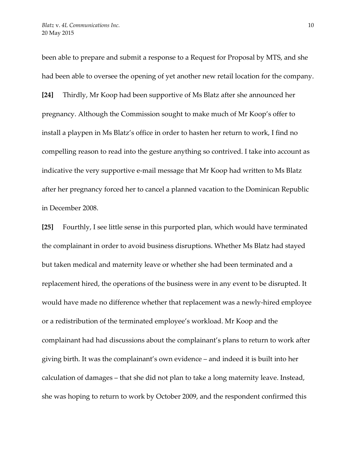been able to prepare and submit a response to a Request for Proposal by MTS, and she had been able to oversee the opening of yet another new retail location for the company. **[24]** Thirdly, Mr Koop had been supportive of Ms Blatz after she announced her pregnancy. Although the Commission sought to make much of Mr Koop's offer to install a playpen in Ms Blatz's office in order to hasten her return to work, I find no compelling reason to read into the gesture anything so contrived. I take into account as indicative the very supportive e-mail message that Mr Koop had written to Ms Blatz after her pregnancy forced her to cancel a planned vacation to the Dominican Republic in December 2008.

**[25]** Fourthly, I see little sense in this purported plan, which would have terminated the complainant in order to avoid business disruptions. Whether Ms Blatz had stayed but taken medical and maternity leave or whether she had been terminated and a replacement hired, the operations of the business were in any event to be disrupted. It would have made no difference whether that replacement was a newly-hired employee or a redistribution of the terminated employee's workload. Mr Koop and the complainant had had discussions about the complainant's plans to return to work after giving birth. It was the complainant's own evidence – and indeed it is built into her calculation of damages – that she did not plan to take a long maternity leave. Instead, she was hoping to return to work by October 2009, and the respondent confirmed this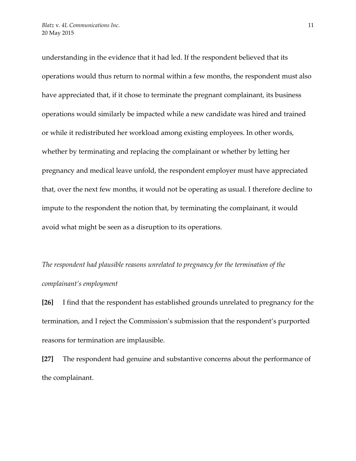understanding in the evidence that it had led. If the respondent believed that its operations would thus return to normal within a few months, the respondent must also have appreciated that, if it chose to terminate the pregnant complainant, its business operations would similarly be impacted while a new candidate was hired and trained or while it redistributed her workload among existing employees. In other words, whether by terminating and replacing the complainant or whether by letting her pregnancy and medical leave unfold, the respondent employer must have appreciated that, over the next few months, it would not be operating as usual. I therefore decline to impute to the respondent the notion that, by terminating the complainant, it would avoid what might be seen as a disruption to its operations.

*The respondent had plausible reasons unrelated to pregnancy for the termination of the complainant's employment* 

**[26]** I find that the respondent has established grounds unrelated to pregnancy for the termination, and I reject the Commission's submission that the respondent's purported reasons for termination are implausible.

**[27]** The respondent had genuine and substantive concerns about the performance of the complainant.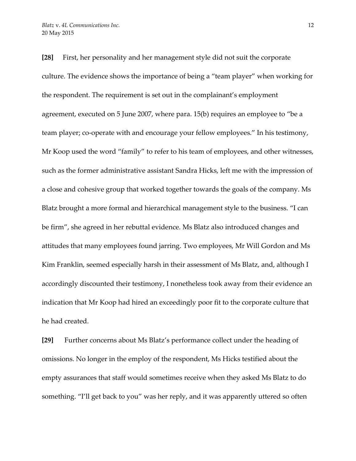**[28]** First, her personality and her management style did not suit the corporate culture. The evidence shows the importance of being a "team player" when working for the respondent. The requirement is set out in the complainant's employment agreement, executed on 5 June 2007, where para. 15(b) requires an employee to "be a team player; co-operate with and encourage your fellow employees." In his testimony, Mr Koop used the word "family" to refer to his team of employees, and other witnesses, such as the former administrative assistant Sandra Hicks, left me with the impression of a close and cohesive group that worked together towards the goals of the company. Ms Blatz brought a more formal and hierarchical management style to the business. "I can be firm", she agreed in her rebuttal evidence. Ms Blatz also introduced changes and attitudes that many employees found jarring. Two employees, Mr Will Gordon and Ms Kim Franklin, seemed especially harsh in their assessment of Ms Blatz, and, although I accordingly discounted their testimony, I nonetheless took away from their evidence an indication that Mr Koop had hired an exceedingly poor fit to the corporate culture that he had created.

**[29]** Further concerns about Ms Blatz's performance collect under the heading of omissions. No longer in the employ of the respondent, Ms Hicks testified about the empty assurances that staff would sometimes receive when they asked Ms Blatz to do something. "I'll get back to you" was her reply, and it was apparently uttered so often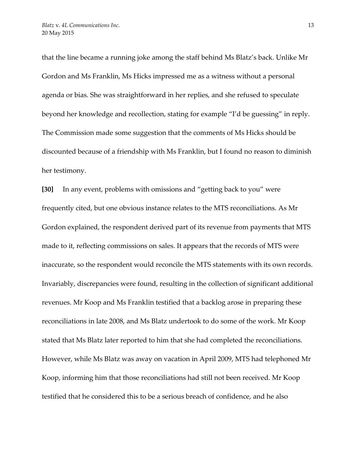that the line became a running joke among the staff behind Ms Blatz's back. Unlike Mr Gordon and Ms Franklin, Ms Hicks impressed me as a witness without a personal agenda or bias. She was straightforward in her replies, and she refused to speculate beyond her knowledge and recollection, stating for example "I'd be guessing" in reply. The Commission made some suggestion that the comments of Ms Hicks should be discounted because of a friendship with Ms Franklin, but I found no reason to diminish her testimony.

**[30]** In any event, problems with omissions and "getting back to you" were frequently cited, but one obvious instance relates to the MTS reconciliations. As Mr Gordon explained, the respondent derived part of its revenue from payments that MTS made to it, reflecting commissions on sales. It appears that the records of MTS were inaccurate, so the respondent would reconcile the MTS statements with its own records. Invariably, discrepancies were found, resulting in the collection of significant additional revenues. Mr Koop and Ms Franklin testified that a backlog arose in preparing these reconciliations in late 2008, and Ms Blatz undertook to do some of the work. Mr Koop stated that Ms Blatz later reported to him that she had completed the reconciliations. However, while Ms Blatz was away on vacation in April 2009, MTS had telephoned Mr Koop, informing him that those reconciliations had still not been received. Mr Koop testified that he considered this to be a serious breach of confidence, and he also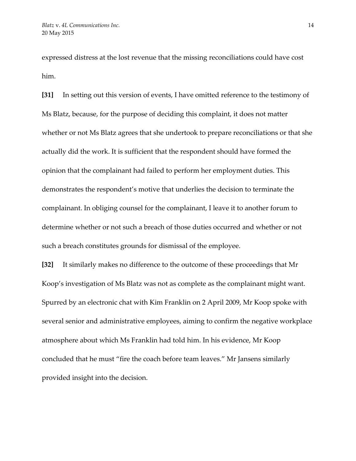expressed distress at the lost revenue that the missing reconciliations could have cost him.

**[31]** In setting out this version of events, I have omitted reference to the testimony of Ms Blatz, because, for the purpose of deciding this complaint, it does not matter whether or not Ms Blatz agrees that she undertook to prepare reconciliations or that she actually did the work. It is sufficient that the respondent should have formed the opinion that the complainant had failed to perform her employment duties. This demonstrates the respondent's motive that underlies the decision to terminate the complainant. In obliging counsel for the complainant, I leave it to another forum to determine whether or not such a breach of those duties occurred and whether or not such a breach constitutes grounds for dismissal of the employee.

**[32]** It similarly makes no difference to the outcome of these proceedings that Mr Koop's investigation of Ms Blatz was not as complete as the complainant might want. Spurred by an electronic chat with Kim Franklin on 2 April 2009, Mr Koop spoke with several senior and administrative employees, aiming to confirm the negative workplace atmosphere about which Ms Franklin had told him. In his evidence, Mr Koop concluded that he must "fire the coach before team leaves." Mr Jansens similarly provided insight into the decision.

14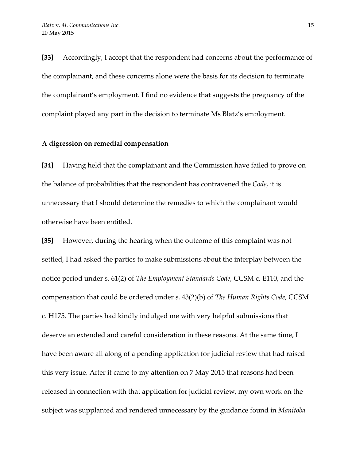**[33]** Accordingly, I accept that the respondent had concerns about the performance of the complainant, and these concerns alone were the basis for its decision to terminate the complainant's employment. I find no evidence that suggests the pregnancy of the complaint played any part in the decision to terminate Ms Blatz's employment.

#### **A digression on remedial compensation**

**[34]** Having held that the complainant and the Commission have failed to prove on the balance of probabilities that the respondent has contravened the *Code*, it is unnecessary that I should determine the remedies to which the complainant would otherwise have been entitled.

**[35]** However, during the hearing when the outcome of this complaint was not settled, I had asked the parties to make submissions about the interplay between the notice period under s. 61(2) of *The Employment Standards Code*, CCSM c. E110, and the compensation that could be ordered under s. 43(2)(b) of *The Human Rights Code*, CCSM c. H175. The parties had kindly indulged me with very helpful submissions that deserve an extended and careful consideration in these reasons. At the same time, I have been aware all along of a pending application for judicial review that had raised this very issue. After it came to my attention on 7 May 2015 that reasons had been released in connection with that application for judicial review, my own work on the subject was supplanted and rendered unnecessary by the guidance found in *Manitoba*